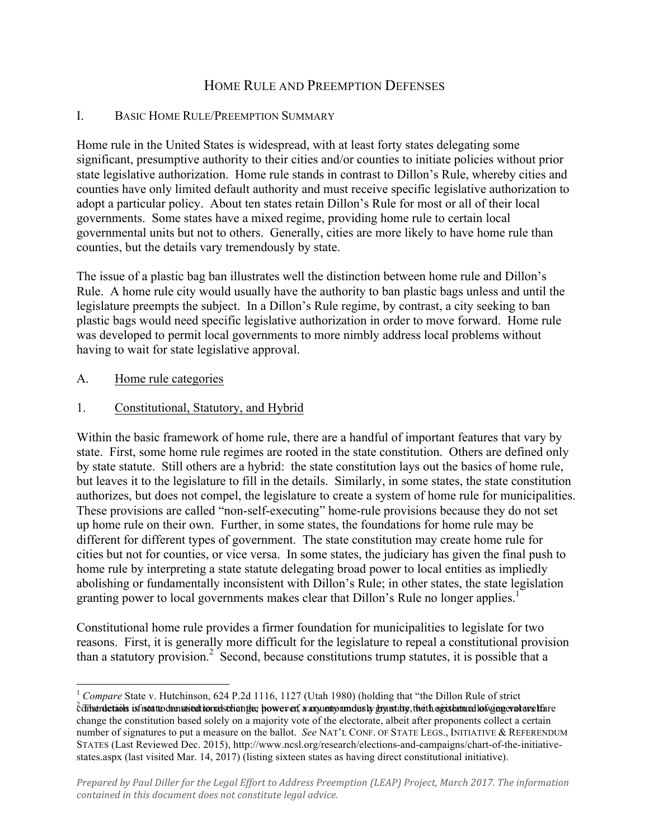# HOME RULE AND PREEMPTION DEFENSES

### I. BASIC HOME RULE/PREEMPTION SUMMARY

Home rule in the United States is widespread, with at least forty states delegating some significant, presumptive authority to their cities and/or counties to initiate policies without prior state legislative authorization. Home rule stands in contrast to Dillon's Rule, whereby cities and counties have only limited default authority and must receive specific legislative authorization to adopt a particular policy. About ten states retain Dillon's Rule for most or all of their local governments. Some states have a mixed regime, providing home rule to certain local governmental units but not to others. Generally, cities are more likely to have home rule than counties, but the details vary tremendously by state.

The issue of a plastic bag ban illustrates well the distinction between home rule and Dillon's Rule. A home rule city would usually have the authority to ban plastic bags unless and until the legislature preempts the subject. In a Dillon's Rule regime, by contrast, a city seeking to ban plastic bags would need specific legislative authorization in order to move forward. Home rule was developed to permit local governments to more nimbly address local problems without having to wait for state legislative approval.

#### A. Home rule categories

# 1. Constitutional, Statutory, and Hybrid

Within the basic framework of home rule, there are a handful of important features that vary by state. First, some home rule regimes are rooted in the state constitution. Others are defined only by state statute. Still others are a hybrid: the state constitution lays out the basics of home rule, but leaves it to the legislature to fill in the details. Similarly, in some states, the state constitution authorizes, but does not compel, the legislature to create a system of home rule for municipalities. These provisions are called "non-self-executing" home-rule provisions because they do not set up home rule on their own. Further, in some states, the foundations for home rule may be different for different types of government. The state constitution may create home rule for cities but not for counties, or vice versa. In some states, the judiciary has given the final push to home rule by interpreting a state statute delegating broad power to local entities as impliedly abolishing or fundamentally inconsistent with Dillon's Rule; in other states, the state legislation granting power to local governments makes clear that Dillon's Rule no longer applies.<sup>1</sup>

Constitutional home rule provides a firmer foundation for municipalities to legislate for two reasons. First, it is generally more difficult for the legislature to repeal a constitutional provision than a statutory provision.<sup>2</sup> Second, because constitutions trump statutes, it is possible that a

<sup>&</sup>lt;sup>1</sup> *Compare* State v. Hutchinson, 624 P.2d 1116, 1127 (Utah 1980) (holding that "the Dillon Rule of strict cdihstrudetabls isfnstattedomnsieultionralsthantie; hower erf, a arguentyoundusly grynstaty, theith sgistatunallof yangerolere lfare change the constitution based solely on a majority vote of the electorate, albeit after proponents collect a certain number of signatures to put a measure on the ballot. *See* NAT'L CONF. OF STATE LEGS., INITIATIVE & REFERENDUM STATES (Last Reviewed Dec. 2015), http://www.ncsl.org/research/elections-and-campaigns/chart-of-the-initiativestates.aspx (last visited Mar. 14, 2017) (listing sixteen states as having direct constitutional initiative).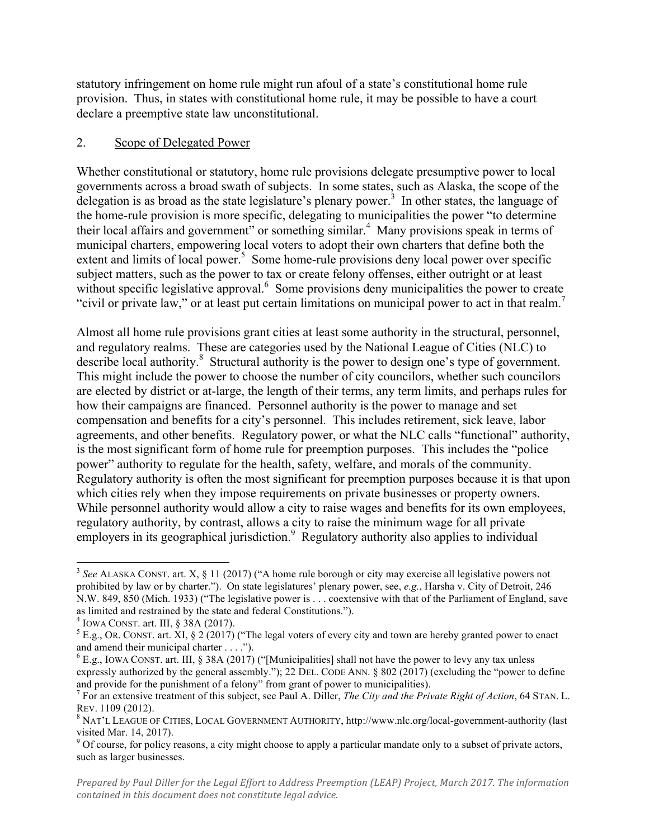statutory infringement on home rule might run afoul of a state's constitutional home rule provision. Thus, in states with constitutional home rule, it may be possible to have a court declare a preemptive state law unconstitutional.

# 2. Scope of Delegated Power

Whether constitutional or statutory, home rule provisions delegate presumptive power to local governments across a broad swath of subjects. In some states, such as Alaska, the scope of the delegation is as broad as the state legislature's plenary power.<sup>3</sup> In other states, the language of the home-rule provision is more specific, delegating to municipalities the power "to determine their local affairs and government" or something similar.<sup>4</sup> Many provisions speak in terms of municipal charters, empowering local voters to adopt their own charters that define both the  $extent$  and limits of local power.<sup>5</sup> Some home-rule provisions deny local power over specific subject matters, such as the power to tax or create felony offenses, either outright or at least without specific legislative approval.<sup>6</sup> Some provisions deny municipalities the power to create "civil or private law," or at least put certain limitations on municipal power to act in that realm.<sup>7</sup>

Almost all home rule provisions grant cities at least some authority in the structural, personnel, and regulatory realms. These are categories used by the National League of Cities (NLC) to describe local authority.<sup>8</sup> Structural authority is the power to design one's type of government. This might include the power to choose the number of city councilors, whether such councilors are elected by district or at-large, the length of their terms, any term limits, and perhaps rules for how their campaigns are financed. Personnel authority is the power to manage and set compensation and benefits for a city's personnel. This includes retirement, sick leave, labor agreements, and other benefits. Regulatory power, or what the NLC calls "functional" authority, is the most significant form of home rule for preemption purposes. This includes the "police power" authority to regulate for the health, safety, welfare, and morals of the community. Regulatory authority is often the most significant for preemption purposes because it is that upon which cities rely when they impose requirements on private businesses or property owners. While personnel authority would allow a city to raise wages and benefits for its own employees, regulatory authority, by contrast, allows a city to raise the minimum wage for all private employers in its geographical jurisdiction.<sup>9</sup> Regulatory authority also applies to individual

<sup>&</sup>lt;sup>3</sup> See ALASKA CONST. art. X, § 11 (2017) ("A home rule borough or city may exercise all legislative powers not prohibited by law or by charter."). On state legislatures' plenary power, see, *e.g.*, Harsha v. City of Detroit, 246 N.W. 849, 850 (Mich. 1933) ("The legislative power is . . . coextensive with that of the Parliament of England, save as limited and restrained by the state and federal Constitutions.").<br>
<sup>4</sup> IOWA CONST. art. III, § 38A (2017).<br>
<sup>5</sup> E.g., OR. CONST. art. XI, § 2 (2017) ("The legal voters of every city and town are hereby granted power to

and amend their municipal charter . . . .").

 $6$  E.g., IOWA CONST. art. III, § 38A (2017) ("[Municipalities] shall not have the power to levy any tax unless expressly authorized by the general assembly."); 22 DEL. CODE ANN.  $\S 802 (2017)$  (excluding the "power to define and provide for the punishment of a felony" from grant of power to municipalities).

<sup>&</sup>lt;sup>7</sup> For an extensive treatment of this subject, see Paul A. Diller, *The City and the Private Right of Action*, 64 STAN. L. REV. 1109 (2012).<br><sup>8</sup> NAT'L LEAGUE OF CITIES, LOCAL GOVERNMENT AUTHORITY, http://www.nlc.org/local-government-authority (last

visited Mar. 14, 2017).

<sup>&</sup>lt;sup>9</sup> Of course, for policy reasons, a city might choose to apply a particular mandate only to a subset of private actors, such as larger businesses.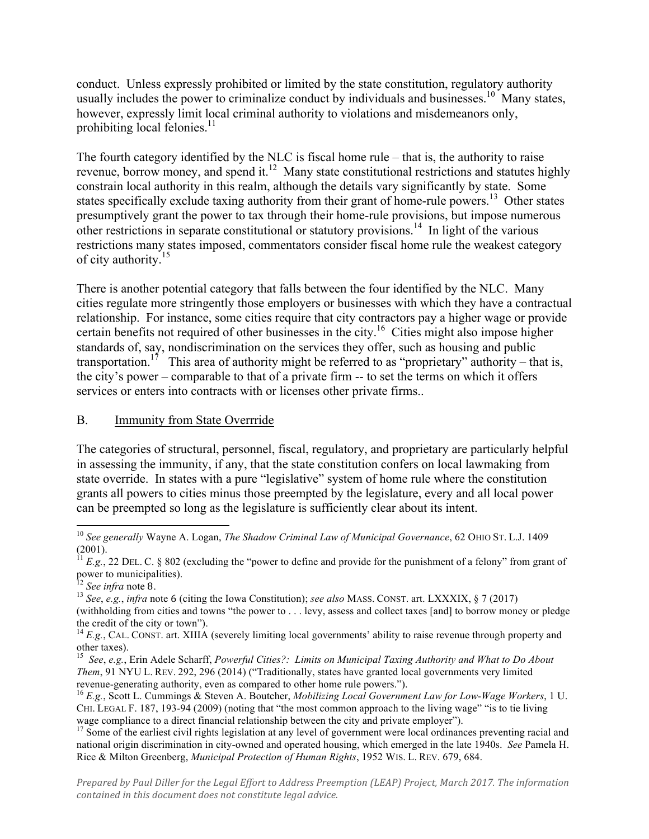conduct. Unless expressly prohibited or limited by the state constitution, regulatory authority usually includes the power to criminalize conduct by individuals and businesses.<sup>10</sup> Many states, however, expressly limit local criminal authority to violations and misdemeanors only, prohibiting local felonies. $11$ 

The fourth category identified by the NLC is fiscal home rule – that is, the authority to raise revenue, borrow money, and spend it.<sup>12</sup> Many state constitutional restrictions and statutes highly constrain local authority in this realm, although the details vary significantly by state. Some states specifically exclude taxing authority from their grant of home-rule powers.<sup>13</sup> Other states presumptively grant the power to tax through their home-rule provisions, but impose numerous other restrictions in separate constitutional or statutory provisions.<sup>14</sup> In light of the various restrictions many states imposed, commentators consider fiscal home rule the weakest category of city authority.<sup>15</sup>

There is another potential category that falls between the four identified by the NLC. Many cities regulate more stringently those employers or businesses with which they have a contractual relationship. For instance, some cities require that city contractors pay a higher wage or provide certain benefits not required of other businesses in the city.<sup>16</sup> Cities might also impose higher standards of, say, nondiscrimination on the services they offer, such as housing and public transportation.<sup>17</sup> This area of authority might be referred to as "proprietary" authority – that is, the city's power – comparable to that of a private firm -- to set the terms on which it offers services or enters into contracts with or licenses other private firms..

### B. Immunity from State Overrride

The categories of structural, personnel, fiscal, regulatory, and proprietary are particularly helpful in assessing the immunity, if any, that the state constitution confers on local lawmaking from state override. In states with a pure "legislative" system of home rule where the constitution grants all powers to cities minus those preempted by the legislature, every and all local power can be preempted so long as the legislature is sufficiently clear about its intent.

<sup>&</sup>lt;sup>10</sup> See generally Wayne A. Logan, *The Shadow Criminal Law of Municipal Governance*, 62 OHIO ST. L.J. 1409 (2001).

 $11$   $E.g., 22$  DEL. C. § 802 (excluding the "power to define and provide for the punishment of a felony" from grant of power to municipalities). power to municipalities).<br><sup>12</sup> *See infra* note 8.

<sup>13</sup> *See*, *e.g.*, *infra* note 6 (citing the Iowa Constitution); *see also* MASS. CONST. art. LXXXIX, § 7 (2017) (withholding from cities and towns "the power to . . . levy, assess and collect taxes [and] to borrow money or pledge the credit of the city or town").

<sup>&</sup>lt;sup>14</sup> *E.g.*, CAL. CONST. art. XIIIA (severely limiting local governments' ability to raise revenue through property and other taxes).

<sup>15</sup> *See*, *e.g.*, Erin Adele Scharff, *Powerful Cities?: Limits on Municipal Taxing Authority and What to Do About Them*, 91 NYU L. REV. 292, 296 (2014) ("Traditionally, states have granted local governments very limited revenue-generating authority, even as compared to other home rule powers."). <sup>16</sup> *E.g.*, Scott L. Cummings & Steven A. Boutcher, *Mobilizing Local Government Law for Low-Wage Workers*, 1 U.

CHI. LEGAL F. 187, 193-94 (2009) (noting that "the most common approach to the living wage" "is to tie living wage compliance to a direct financial relationship between the city and private employer").

 $17$  Some of the earliest civil rights legislation at any level of government were local ordinances preventing racial and national origin discrimination in city-owned and operated housing, which emerged in the late 1940s. *See* Pamela H. Rice & Milton Greenberg, *Municipal Protection of Human Rights*, 1952 WIS. L. REV. 679, 684.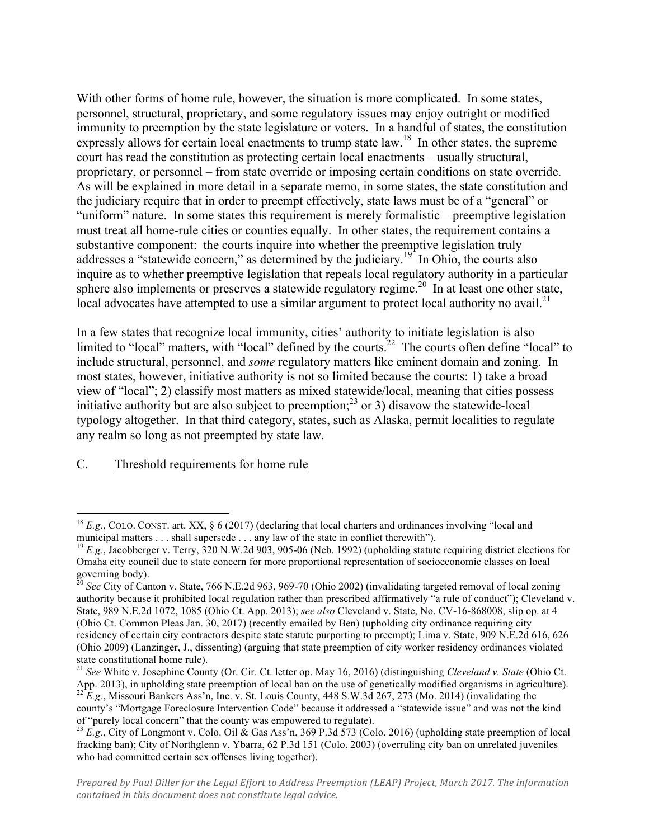With other forms of home rule, however, the situation is more complicated. In some states, personnel, structural, proprietary, and some regulatory issues may enjoy outright or modified immunity to preemption by the state legislature or voters. In a handful of states, the constitution expressly allows for certain local enactments to trump state law.<sup>18</sup> In other states, the supreme court has read the constitution as protecting certain local enactments – usually structural, proprietary, or personnel – from state override or imposing certain conditions on state override. As will be explained in more detail in a separate memo, in some states, the state constitution and the judiciary require that in order to preempt effectively, state laws must be of a "general" or "uniform" nature. In some states this requirement is merely formalistic – preemptive legislation must treat all home-rule cities or counties equally. In other states, the requirement contains a substantive component: the courts inquire into whether the preemptive legislation truly addresses a "statewide concern," as determined by the judiciary.<sup>19</sup> In Ohio, the courts also inquire as to whether preemptive legislation that repeals local regulatory authority in a particular sphere also implements or preserves a statewide regulatory regime.<sup>20</sup> In at least one other state, local advocates have attempted to use a similar argument to protect local authority no avail.<sup>21</sup>

In a few states that recognize local immunity, cities' authority to initiate legislation is also limited to "local" matters, with "local" defined by the courts.<sup>22</sup> The courts often define "local" to include structural, personnel, and *some* regulatory matters like eminent domain and zoning. In most states, however, initiative authority is not so limited because the courts: 1) take a broad view of "local"; 2) classify most matters as mixed statewide/local, meaning that cities possess initiative authority but are also subject to preemption;<sup>23</sup> or 3) disavow the statewide-local typology altogether. In that third category, states, such as Alaska, permit localities to regulate any realm so long as not preempted by state law.

#### C. Threshold requirements for home rule

<sup>&</sup>lt;sup>18</sup> *E.g.*, COLO. CONST. art. XX,  $\S 6 (2017)$  (declaring that local charters and ordinances involving "local and municipal matters ... shall supersede ... any law of the state in conflict therewith").

<sup>&</sup>lt;sup>19</sup> *E.g.*, Jacobberger v. Terry, 320 N.W.2d 903, 905-06 (Neb. 1992) (upholding statute requiring district elections for Omaha city council due to state concern for more proportional representation of socioeconomic classes on local governing body).<br><sup>20</sup> *See* City of Canton v. State, 766 N.E.2d 963, 969-70 (Ohio 2002) (invalidating targeted removal of local zoning

authority because it prohibited local regulation rather than prescribed affirmatively "a rule of conduct"); Cleveland v. State, 989 N.E.2d 1072, 1085 (Ohio Ct. App. 2013); *see also* Cleveland v. State, No. CV-16-868008, slip op. at 4 (Ohio Ct. Common Pleas Jan. 30, 2017) (recently emailed by Ben) (upholding city ordinance requiring city residency of certain city contractors despite state statute purporting to preempt); Lima v. State, 909 N.E.2d 616, 626 (Ohio 2009) (Lanzinger, J., dissenting) (arguing that state preemption of city worker residency ordinances violated state constitutional home rule).

<sup>21</sup> *See* White v. Josephine County (Or. Cir. Ct. letter op. May 16, 2016) (distinguishing *Cleveland v. State* (Ohio Ct. App. 2013), in upholding state preemption of local ban on the use of genetically modified organisms in agriculture). <sup>22</sup> E.g., Missouri Bankers Ass'n, Inc. v. St. Louis County, 448 S.W.3d 267, 273 (Mo. 2014) (invalidating the county's "Mortgage Foreclosure Intervention Code" because it addressed a "statewide issue" and was not the kind of "purely local concern" that the county was empowered to regulate).

<sup>&</sup>lt;sup>23</sup> *E.g.*, City of Longmont v. Colo. Oil & Gas Ass'n, 369 P.3d 573 (Colo. 2016) (upholding state preemption of local fracking ban); City of Northglenn v. Ybarra, 62 P.3d 151 (Colo. 2003) (overruling city ban on unrelated juveniles who had committed certain sex offenses living together).